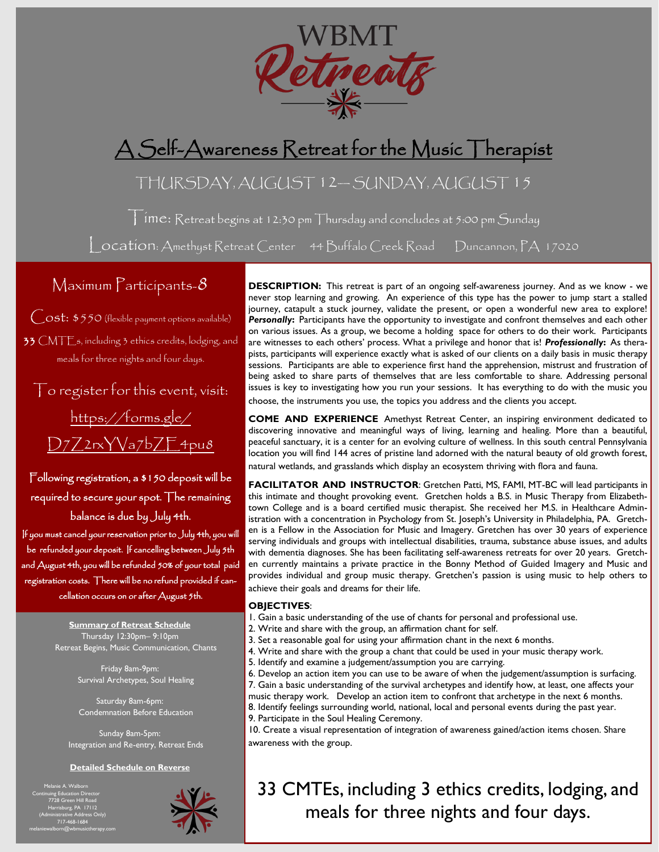

# A Self-Awareness Retreat for the Music Therapist

## THURSDAY, AUGUST 12— SUNDAY, AUGUST 15

Time: Retreat begins at 12:30 pm Thursday and concludes at 5:00 pm Sunday

Location: Amethyst Retreat Center 44 Buffalo Creek Road Duncannon, PA 17020

### Maximum Participants-8

Cost: \$550 (flexible payment options available) 33 CMTE<sub>s</sub>, including 3 ethics credits, lodging, and meals for three nights and four days.

To register for this event, visit:

[https://forms.gle/](https://forms.gle/D7Z2rxYVa7bZE4pu8)  $D7Z2rxYVa7bZE4pu8$ 

Following registration, a \$150 deposit will be required to secure your spot. The remaining balance is due by July 4th. If you must cancel your reservation prior to July 4th, you will be refunded your deposit. If cancelling between July 5th and August 4th, you will be refunded 50% of your total paid

registration costs. There will be no refund provided if cancellation occurs on or after August 5th.

**Summary of Retreat Schedule** Thursday 12:30pm– 9:10pm Retreat Begins, Music Communication, Chants

> Friday 8am-9pm: Survival Archetypes, Soul Healing

Saturday 8am-6pm: Condemnation Before Education

Sunday 8am-5pm: Integration and Re-entry, Retreat Ends

#### **Detailed Schedule on Reverse**

Melanie A. Walborn Continuing Education Director 7728 Green Hill Road Harrisburg, PA 17112 (Administrative Address Only) 717-468-1684 melaniewalborn@wbmusictherapy.com



**DESCRIPTION:** This retreat is part of an ongoing self-awareness journey. And as we know - we never stop learning and growing. An experience of this type has the power to jump start a stalled journey, catapult a stuck journey, validate the present, or open a wonderful new area to explore! **Personally:** Participants have the opportunity to investigate and confront themselves and each other on various issues. As a group, we become a holding space for others to do their work. Participants are witnesses to each others' process. What a privilege and honor that is! *Professionally***:** As therapists, participants will experience exactly what is asked of our clients on a daily basis in music therapy sessions. Participants are able to experience first hand the apprehension, mistrust and frustration of being asked to share parts of themselves that are less comfortable to share. Addressing personal issues is key to investigating how you run your sessions. It has everything to do with the music you

choose, the instruments you use, the topics you address and the clients you accept.

**COME AND EXPERIENCE** Amethyst Retreat Center, an inspiring environment dedicated to discovering innovative and meaningful ways of living, learning and healing. More than a beautiful, peaceful sanctuary, it is a center for an evolving culture of wellness. In this south central Pennsylvania location you will find 144 acres of pristine land adorned with the natural beauty of old growth forest, natural wetlands, and grasslands which display an ecosystem thriving with flora and fauna.

**FACILITATOR AND INSTRUCTOR**: Gretchen Patti, MS, FAMI, MT-BC will lead participants in this intimate and thought provoking event. Gretchen holds a B.S. in Music Therapy from Elizabethtown College and is a board certified music therapist. She received her M.S. in Healthcare Administration with a concentration in Psychology from St. Joseph's University in Philadelphia, PA. Gretchen is a Fellow in the Association for Music and Imagery. Gretchen has over 30 years of experience serving individuals and groups with intellectual disabilities, trauma, substance abuse issues, and adults with dementia diagnoses. She has been facilitating self-awareness retreats for over 20 years. Gretchen currently maintains a private practice in the Bonny Method of Guided Imagery and Music and provides individual and group music therapy. Gretchen's passion is using music to help others to achieve their goals and dreams for their life.

#### **OBJECTIVES**:

- 1. Gain a basic understanding of the use of chants for personal and professional use.
- 2. Write and share with the group, an affirmation chant for self.
- 3. Set a reasonable goal for using your affirmation chant in the next 6 months.
- 4. Write and share with the group a chant that could be used in your music therapy work.
- 5. Identify and examine a judgement/assumption you are carrying.

6. Develop an action item you can use to be aware of when the judgement/assumption is surfacing. 7. Gain a basic understanding of the survival archetypes and identify how, at least, one affects your music therapy work. Develop an action item to confront that archetype in the next 6 months. 8. Identify feelings surrounding world, national, local and personal events during the past year.

9. Participate in the Soul Healing Ceremony. 10. Create a visual representation of integration of awareness gained/action items chosen. Share awareness with the group.

## 33 CMTEs, including 3 ethics credits, lodging, and meals for three nights and four days.